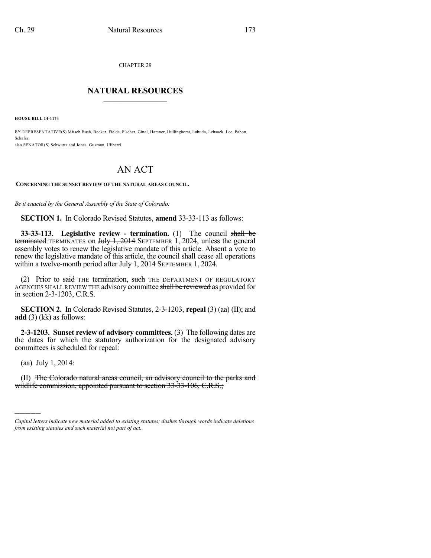CHAPTER 29

## $\overline{\phantom{a}}$  . The set of the set of the set of the set of the set of the set of the set of the set of the set of the set of the set of the set of the set of the set of the set of the set of the set of the set of the set o **NATURAL RESOURCES**  $\frac{1}{\sqrt{2}}$  ,  $\frac{1}{\sqrt{2}}$  ,  $\frac{1}{\sqrt{2}}$  ,  $\frac{1}{\sqrt{2}}$  ,  $\frac{1}{\sqrt{2}}$  ,  $\frac{1}{\sqrt{2}}$

**HOUSE BILL 14-1174**

BY REPRESENTATIVE(S) Mitsch Bush, Becker, Fields, Fischer, Ginal, Hamner, Hullinghorst, Labuda, Lebsock, Lee, Pabon, Schafer; also SENATOR(S) Schwartz and Jones, Guzman, Ulibarri.

## AN ACT

**CONCERNING THE SUNSET REVIEW OF THE NATURAL AREAS COUNCIL.**

*Be it enacted by the General Assembly of the State of Colorado:*

**SECTION 1.** In Colorado Revised Statutes, **amend** 33-33-113 as follows:

**33-33-113. Legislative review - termination.** (1) The council shall be terminated TERMINATES on July 1, 2014 SEPTEMBER  $1, 2024$ , unless the general assembly votes to renew the legislative mandate of this article. Absent a vote to renew the legislative mandate of this article, the council shall cease all operations within a twelve-month period after Huly 1, 2014 SEPTEMBER 1, 2024.

(2) Prior to said THE termination, such THE DEPARTMENT OF REGULATORY AGENCIES SHALL REVIEW THE advisory committee shall be reviewed as provided for in section 2-3-1203, C.R.S.

**SECTION 2.** In Colorado Revised Statutes, 2-3-1203, **repeal** (3) (aa) (II); and **add** (3) (kk) as follows:

**2-3-1203. Sunset review of advisory committees.** (3) The following dates are the dates for which the statutory authorization for the designated advisory committees is scheduled for repeal:

(aa) July 1, 2014:

)))))

(II) The Colorado natural areas council, an advisory council to the parks and wildlife commission, appointed pursuant to section 33-33-106, C.R.S.;

*Capital letters indicate new material added to existing statutes; dashes through words indicate deletions from existing statutes and such material not part of act.*